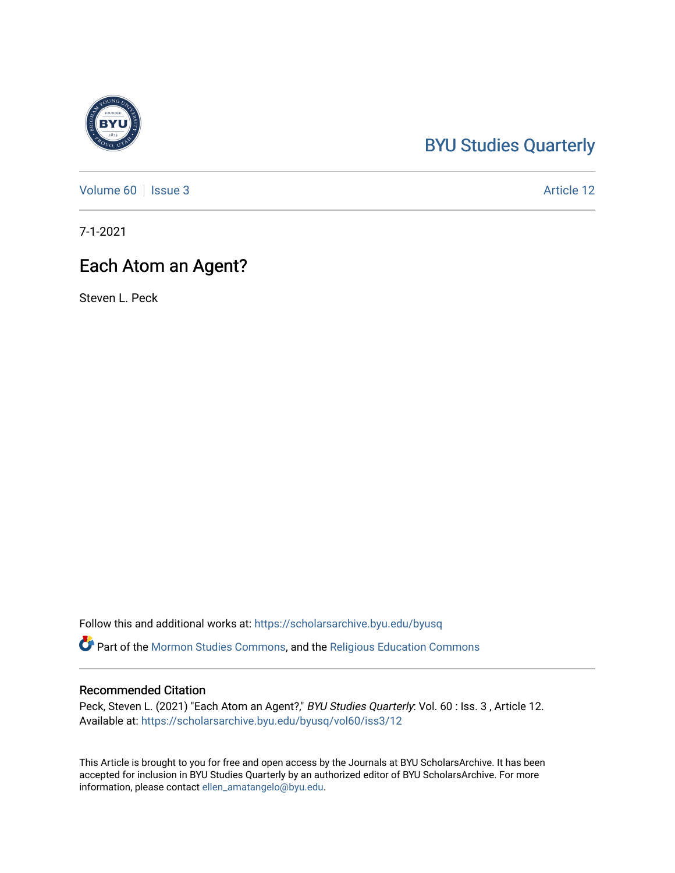# [BYU Studies Quarterly](https://scholarsarchive.byu.edu/byusq)

[Volume 60](https://scholarsarchive.byu.edu/byusq/vol60) | [Issue 3](https://scholarsarchive.byu.edu/byusq/vol60/iss3) Article 12

7-1-2021

# Each Atom an Agent?

Steven L. Peck

Follow this and additional works at: [https://scholarsarchive.byu.edu/byusq](https://scholarsarchive.byu.edu/byusq?utm_source=scholarsarchive.byu.edu%2Fbyusq%2Fvol60%2Fiss3%2F12&utm_medium=PDF&utm_campaign=PDFCoverPages) 

Part of the [Mormon Studies Commons](http://network.bepress.com/hgg/discipline/1360?utm_source=scholarsarchive.byu.edu%2Fbyusq%2Fvol60%2Fiss3%2F12&utm_medium=PDF&utm_campaign=PDFCoverPages), and the [Religious Education Commons](http://network.bepress.com/hgg/discipline/1414?utm_source=scholarsarchive.byu.edu%2Fbyusq%2Fvol60%2Fiss3%2F12&utm_medium=PDF&utm_campaign=PDFCoverPages) 

## Recommended Citation

Peck, Steven L. (2021) "Each Atom an Agent?," BYU Studies Quarterly: Vol. 60 : Iss. 3, Article 12. Available at: [https://scholarsarchive.byu.edu/byusq/vol60/iss3/12](https://scholarsarchive.byu.edu/byusq/vol60/iss3/12?utm_source=scholarsarchive.byu.edu%2Fbyusq%2Fvol60%2Fiss3%2F12&utm_medium=PDF&utm_campaign=PDFCoverPages) 

This Article is brought to you for free and open access by the Journals at BYU ScholarsArchive. It has been accepted for inclusion in BYU Studies Quarterly by an authorized editor of BYU ScholarsArchive. For more information, please contact [ellen\\_amatangelo@byu.edu.](mailto:ellen_amatangelo@byu.edu)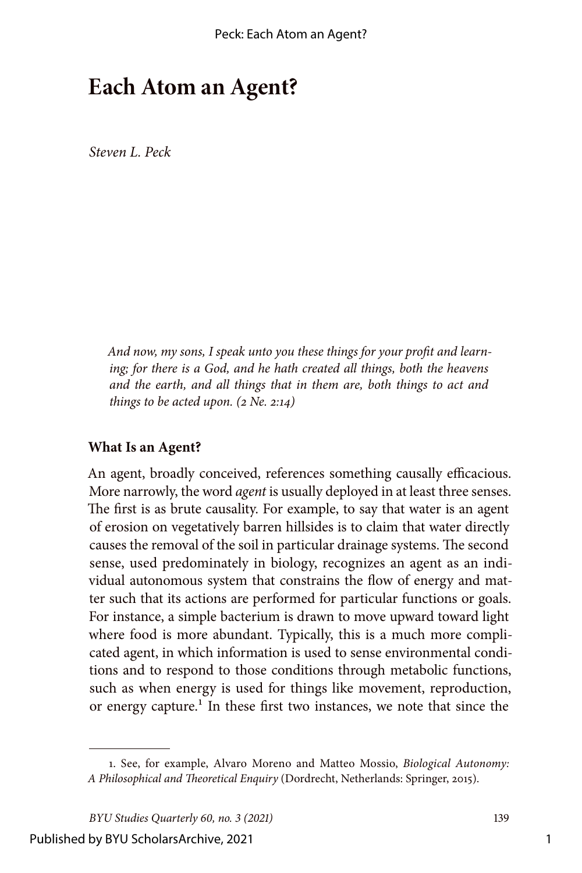# **Each Atom an Agent?**

*Steven L. Peck*

*And now, my sons, I speak unto you these things for your profit and learning; for there is a God, and he hath created all things, both the heavens and the earth, and all things that in them are, both things to act and things to be acted upon. (2 Ne. 2:14)*

#### **What Is an Agent?**

An agent, broadly conceived, references something causally efficacious. More narrowly, the word *agent* is usually deployed in at least three senses. The first is as brute causality. For example, to say that water is an agent of erosion on vegetatively barren hillsides is to claim that water directly causes the removal of the soil in particular drainage systems. The second sense, used predominately in biology, recognizes an agent as an individual autonomous system that constrains the flow of energy and matter such that its actions are performed for particular functions or goals. For instance, a simple bacterium is drawn to move upward toward light where food is more abundant. Typically, this is a much more complicated agent, in which information is used to sense environmental conditions and to respond to those conditions through metabolic functions, such as when energy is used for things like movement, reproduction, or energy capture.<sup>1</sup> In these first two instances, we note that since the

<sup>1.</sup> See, for example, Alvaro Moreno and Matteo Mossio, *Biological Autonomy: A Philosophical and Theoretical Enquiry* (Dordrecht, Netherlands: Springer, 2015).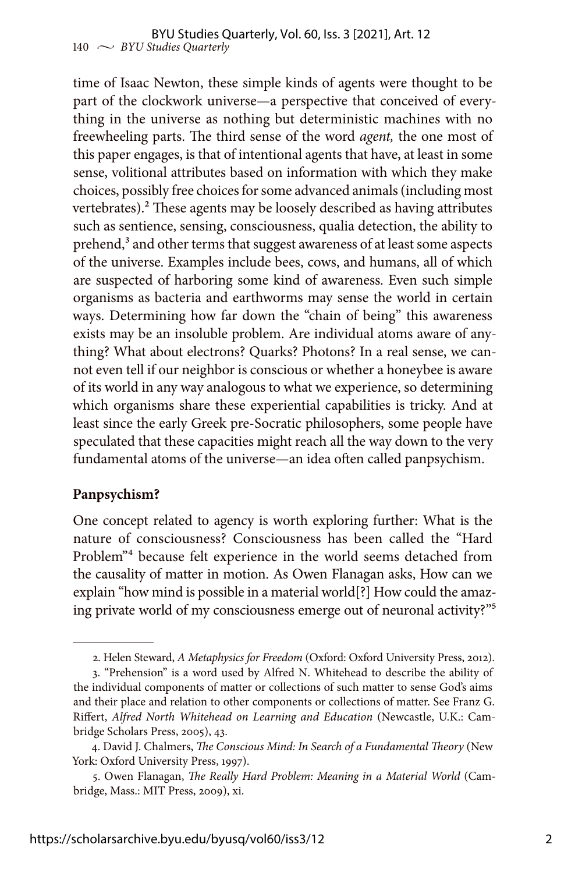time of Isaac Newton, these simple kinds of agents were thought to be part of the clockwork universe—a perspective that conceived of everything in the universe as nothing but deterministic machines with no freewheeling parts. The third sense of the word *agent,* the one most of this paper engages, is that of intentional agents that have, at least in some sense, volitional attributes based on information with which they make choices, possibly free choices for some advanced animals (including most vertebrates).<sup>2</sup> These agents may be loosely described as having attributes such as sentience, sensing, consciousness, qualia detection, the ability to prehend,<sup>3</sup> and other terms that suggest awareness of at least some aspects of the universe. Examples include bees, cows, and humans, all of which are suspected of harboring some kind of awareness. Even such simple organisms as bacteria and earthworms may sense the world in certain ways. Determining how far down the "chain of being" this awareness exists may be an insoluble problem. Are individual atoms aware of anything? What about electrons? Quarks? Photons? In a real sense, we cannot even tell if our neighbor is conscious or whether a honeybee is aware of its world in any way analogous to what we experience, so determining which organisms share these experiential capabilities is tricky. And at least since the early Greek pre-Socratic philosophers, some people have speculated that these capacities might reach all the way down to the very fundamental atoms of the universe—an idea often called panpsychism.

### **Panpsychism?**

One concept related to agency is worth exploring further: What is the nature of consciousness? Consciousness has been called the "Hard Problem"4 because felt experience in the world seems detached from the causality of matter in motion. As Owen Flanagan asks, How can we explain "how mind is possible in a material world[?] How could the amazing private world of my consciousness emerge out of neuronal activity?"5

<sup>2.</sup> Helen Steward, *A Metaphysics for Freedom* (Oxford: Oxford University Press, 2012).

<sup>3. &</sup>quot;Prehension" is a word used by Alfred N. Whitehead to describe the ability of the individual components of matter or collections of such matter to sense God's aims and their place and relation to other components or collections of matter. See Franz G. Riffert, *Alfred North Whitehead on Learning and Education* (Newcastle, U.K.: Cambridge Scholars Press, 2005), 43.

<sup>4.</sup> David J. Chalmers, *The Conscious Mind: In Search of a Fundamental Theory* (New York: Oxford University Press, 1997).

<sup>5.</sup> Owen Flanagan, *The Really Hard Problem: Meaning in a Material World* (Cambridge, Mass.: MIT Press, 2009), xi.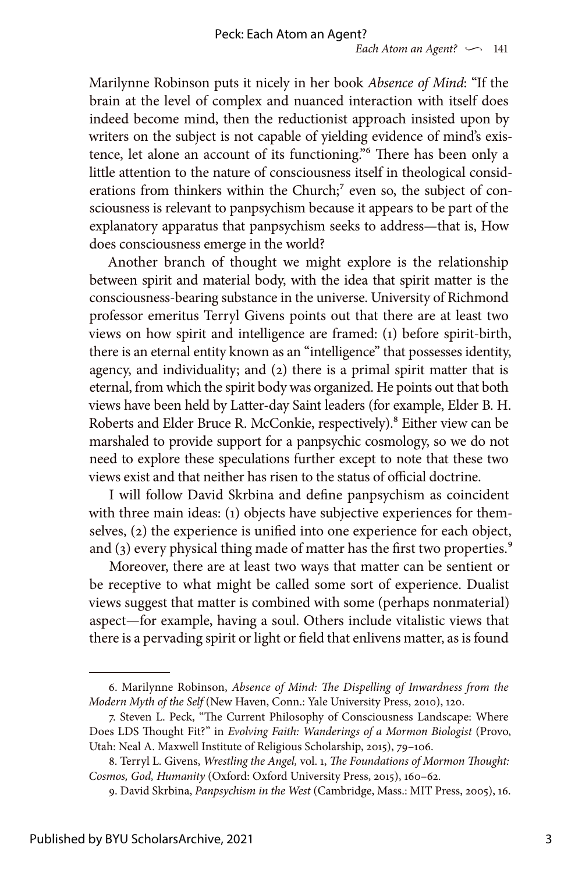Marilynne Robinson puts it nicely in her book *Absence of Mind*: "If the brain at the level of complex and nuanced interaction with itself does indeed become mind, then the reductionist approach insisted upon by writers on the subject is not capable of yielding evidence of mind's existence, let alone an account of its functioning."6 There has been only a little attention to the nature of consciousness itself in theological considerations from thinkers within the Church;<sup>7</sup> even so, the subject of consciousness is relevant to panpsychism because it appears to be part of the explanatory apparatus that panpsychism seeks to address—that is, How does consciousness emerge in the world?

Another branch of thought we might explore is the relationship between spirit and material body, with the idea that spirit matter is the consciousness-bearing substance in the universe. University of Richmond professor emeritus Terryl Givens points out that there are at least two views on how spirit and intelligence are framed: (1) before spirit-birth, there is an eternal entity known as an "intelligence" that possesses identity, agency, and individuality; and (2) there is a primal spirit matter that is eternal, from which the spirit body was organized. He points out that both views have been held by Latter-day Saint leaders (for example, Elder B. H. Roberts and Elder Bruce R. McConkie, respectively).<sup>8</sup> Either view can be marshaled to provide support for a panpsychic cosmology, so we do not need to explore these speculations further except to note that these two views exist and that neither has risen to the status of official doctrine.

I will follow David Skrbina and define panpsychism as coincident with three main ideas: (1) objects have subjective experiences for themselves, (2) the experience is unified into one experience for each object, and (3) every physical thing made of matter has the first two properties.<sup>9</sup>

Moreover, there are at least two ways that matter can be sentient or be receptive to what might be called some sort of experience. Dualist views suggest that matter is combined with some (perhaps nonmaterial) aspect—for example, having a soul. Others include vitalistic views that there is a pervading spirit or light or field that enlivens matter, as is found

<sup>6.</sup> Marilynne Robinson, *Absence of Mind: The Dispelling of Inwardness from the Modern Myth of the Self* (New Haven, Conn.: Yale University Press, 2010), 120.

<sup>7.</sup> Steven L. Peck, "The Current Philosophy of Consciousness Landscape: Where Does LDS Thought Fit?" in *Evolving Faith: Wanderings of a Mormon Biologist* (Provo, Utah: Neal A. Maxwell Institute of Religious Scholarship, 2015), 79–106.

<sup>8.</sup> Terryl L. Givens, *Wrestling the Angel,* vol. 1, *The Foundations of Mormon Thought: Cosmos, God, Humanity* (Oxford: Oxford University Press, 2015), 160–62.

<sup>9.</sup> David Skrbina, *Panpsychism in the West* (Cambridge, Mass.: MIT Press, 2005), 16.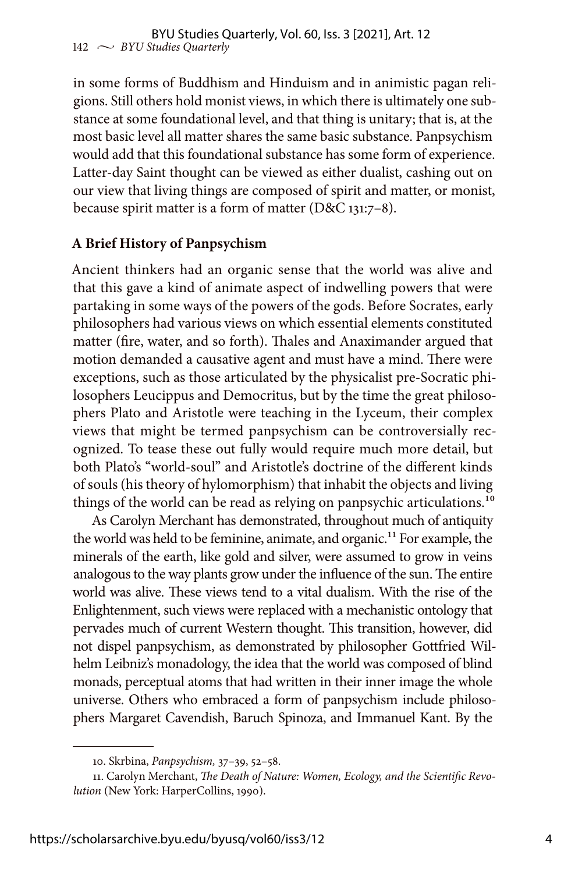in some forms of Buddhism and Hinduism and in animistic pagan religions. Still others hold monist views, in which there is ultimately one substance at some foundational level, and that thing is unitary; that is, at the most basic level all matter shares the same basic substance. Panpsychism would add that this foundational substance has some form of experience. Latter-day Saint thought can be viewed as either dualist, cashing out on our view that living things are composed of spirit and matter, or monist, because spirit matter is a form of matter (D&C 131:7–8).

# **A Brief History of Panpsychism**

Ancient thinkers had an organic sense that the world was alive and that this gave a kind of animate aspect of indwelling powers that were partaking in some ways of the powers of the gods. Before Socrates, early philosophers had various views on which essential elements constituted matter (fire, water, and so forth). Thales and Anaximander argued that motion demanded a causative agent and must have a mind. There were exceptions, such as those articulated by the physicalist pre-Socratic philosophers Leucippus and Democritus, but by the time the great philosophers Plato and Aristotle were teaching in the Lyceum, their complex views that might be termed panpsychism can be controversially recognized. To tease these out fully would require much more detail, but both Plato's "world-soul" and Aristotle's doctrine of the different kinds of souls (his theory of hylomorphism) that inhabit the objects and living things of the world can be read as relying on panpsychic articulations.<sup>10</sup>

As Carolyn Merchant has demonstrated, throughout much of antiquity the world was held to be feminine, animate, and organic.<sup>11</sup> For example, the minerals of the earth, like gold and silver, were assumed to grow in veins analogous to the way plants grow under the influence of the sun. The entire world was alive. These views tend to a vital dualism. With the rise of the Enlightenment, such views were replaced with a mechanistic ontology that pervades much of current Western thought. This transition, however, did not dispel panpsychism, as demonstrated by philosopher Gottfried Wilhelm Leibniz's monadology, the idea that the world was composed of blind monads, perceptual atoms that had written in their inner image the whole universe. Others who embraced a form of panpsychism include philosophers Margaret Cavendish, Baruch Spinoza, and Immanuel Kant. By the

<sup>10.</sup> Skrbina, *Panpsychism,* 37–39, 52–58.

<sup>11.</sup> Carolyn Merchant, *The Death of Nature: Women, Ecology, and the Scientific Revolution* (New York: HarperCollins, 1990).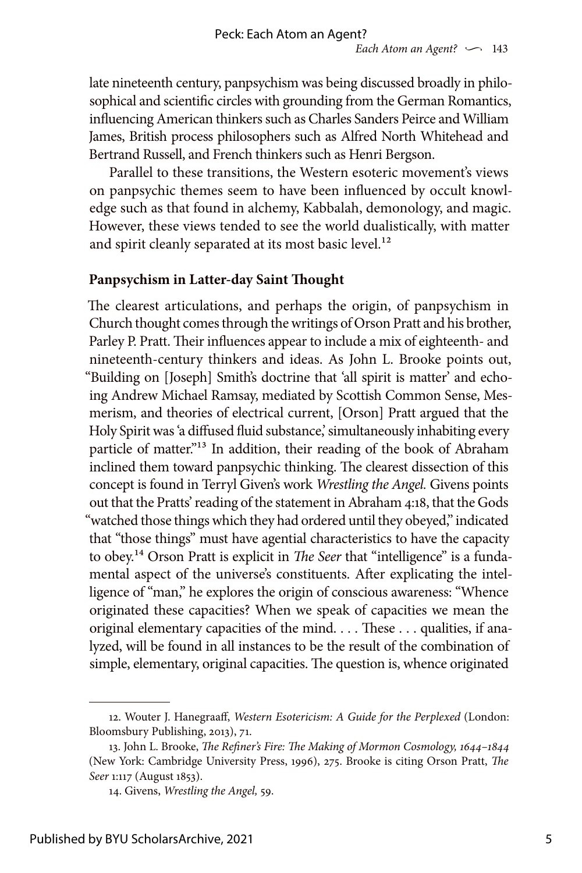late nineteenth century, panpsychism was being discussed broadly in philosophical and scientific circles with grounding from the German Romantics, influencing American thinkers such as Charles Sanders Peirce and William James, British process philosophers such as Alfred North Whitehead and Bertrand Russell, and French thinkers such as Henri Bergson.

Parallel to these transitions, the Western esoteric movement's views on panpsychic themes seem to have been influenced by occult knowledge such as that found in alchemy, Kabbalah, demonology, and magic. However, these views tended to see the world dualistically, with matter and spirit cleanly separated at its most basic level.<sup>12</sup>

## **Panpsychism in Latter-day Saint Thought**

The clearest articulations, and perhaps the origin, of panpsychism in Church thought comes through the writings of Orson Pratt and his brother, Parley P. Pratt. Their influences appear to include a mix of eighteenth- and nineteenth-century thinkers and ideas. As John L. Brooke points out, "Building on [Joseph] Smith's doctrine that 'all spirit is matter' and echoing Andrew Michael Ramsay, mediated by Scottish Common Sense, Mesmerism, and theories of electrical current, [Orson] Pratt argued that the Holy Spirit was 'a diffused fluid substance,' simultaneously inhabiting every particle of matter."<sup>13</sup> In addition, their reading of the book of Abraham inclined them toward panpsychic thinking. The clearest dissection of this concept is found in Terryl Given's work *Wrestling the Angel.* Givens points out that the Pratts' reading of the statement in Abraham 4:18, that the Gods "watched those things which they had ordered until they obeyed," indicated that "those things" must have agential characteristics to have the capacity to obey.14 Orson Pratt is explicit in *The Seer* that "intelligence" is a fundamental aspect of the universe's constituents. After explicating the intelligence of "man," he explores the origin of conscious awareness: "Whence originated these capacities? When we speak of capacities we mean the original elementary capacities of the mind. . . . These . . . qualities, if analyzed, will be found in all instances to be the result of the combination of simple, elementary, original capacities. The question is, whence originated

<sup>12.</sup> Wouter J. Hanegraaff, *Western Esotericism: A Guide for the Perplexed* (London: Bloomsbury Publishing, 2013), 71.

<sup>13.</sup> John L. Brooke, *The Refiner's Fire: The Making of Mormon Cosmology, 1644–1844* (New York: Cambridge University Press, 1996), 275. Brooke is citing Orson Pratt, *The Seer* 1:117 (August 1853).

<sup>14.</sup> Givens, *Wrestling the Angel,* 59.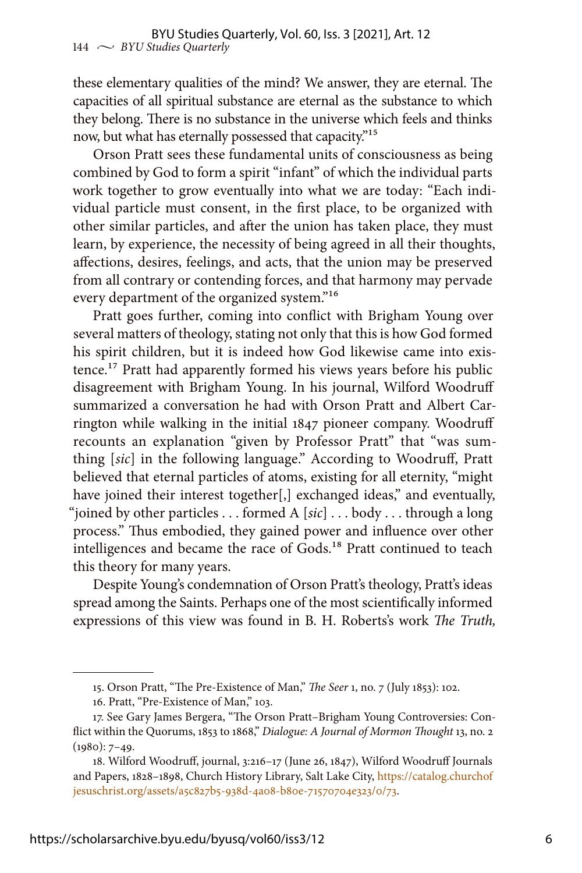these elementary qualities of the mind? We answer, they are eternal. The capacities of all spiritual substance are eternal as the substance to which they belong. There is no substance in the universe which feels and thinks now, but what has eternally possessed that capacity."15

Orson Pratt sees these fundamental units of consciousness as being combined by God to form a spirit "infant" of which the individual parts work together to grow eventually into what we are today: "Each individual particle must consent, in the first place, to be organized with other similar particles, and after the union has taken place, they must learn, by experience, the necessity of being agreed in all their thoughts, affections, desires, feelings, and acts, that the union may be preserved from all contrary or contending forces, and that harmony may pervade every department of the organized system."16

Pratt goes further, coming into conflict with Brigham Young over several matters of theology, stating not only that this is how God formed his spirit children, but it is indeed how God likewise came into existence.17 Pratt had apparently formed his views years before his public disagreement with Brigham Young. In his journal, Wilford Woodruff summarized a conversation he had with Orson Pratt and Albert Carrington while walking in the initial 1847 pioneer company. Woodruff recounts an explanation "given by Professor Pratt" that "was sumthing [*sic*] in the following language." According to Woodruff, Pratt believed that eternal particles of atoms, existing for all eternity, "might have joined their interest together[,] exchanged ideas," and eventually, "joined by other particles . . . formed A [*sic*] . . . body . . . through a long process." Thus embodied, they gained power and influence over other intelligences and became the race of Gods.<sup>18</sup> Pratt continued to teach this theory for many years.

Despite Young's condemnation of Orson Pratt's theology, Pratt's ideas spread among the Saints. Perhaps one of the most scientifically informed expressions of this view was found in B. H. Roberts's work *The Truth,* 

<sup>15.</sup> Orson Pratt, "The Pre-Existence of Man," *The Seer* 1, no. 7 (July 1853): 102.

<sup>16.</sup> Pratt, "Pre-Existence of Man," 103.

<sup>17.</sup> See Gary James Bergera, "The Orson Pratt–Brigham Young Controversies: Conflict within the Quorums, 1853 to 1868," *Dialogue: A Journal of Mormon Thought* 13, no. 2  $(1980): 7-49.$ 

<sup>18.</sup> Wilford Woodruff, journal, 3:216–17 (June 26, 1847), Wilford Woodruff Journals and Papers, 1828–1898, Church History Library, Salt Lake City, [https://catalog.churchof](https://catalog.churchofjesuschrist.org/assets/a5c827b5-938d-4a08-b80e-71570704e323/0/73) [jesuschrist.org/assets/a5c827b5-938d-4a08-b80e-71570704e323/0/73](https://catalog.churchofjesuschrist.org/assets/a5c827b5-938d-4a08-b80e-71570704e323/0/73).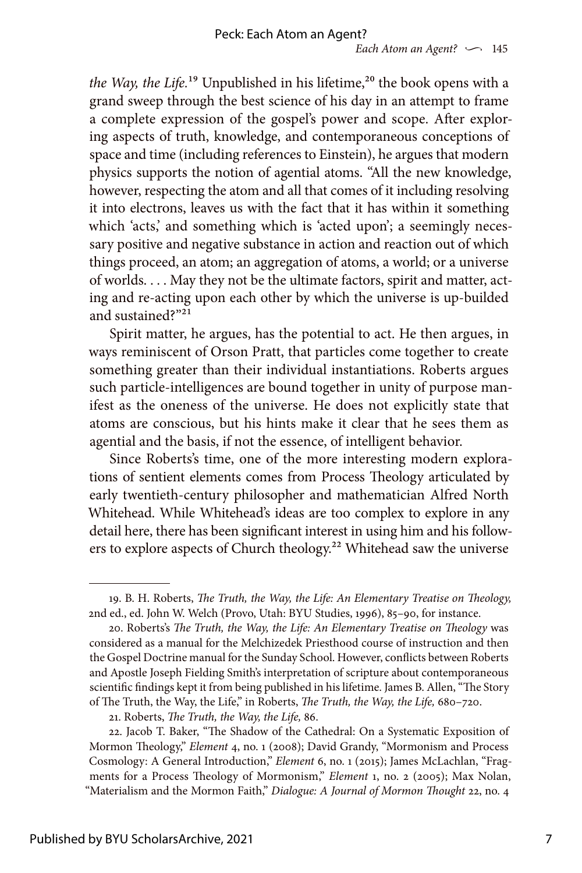*the Way, the Life.*<sup>19</sup> Unpublished in his lifetime,<sup>20</sup> the book opens with a grand sweep through the best science of his day in an attempt to frame a complete expression of the gospel's power and scope. After exploring aspects of truth, knowledge, and contemporaneous conceptions of space and time (including references to Einstein), he argues that modern physics supports the notion of agential atoms. "All the new knowledge, however, respecting the atom and all that comes of it including resolving it into electrons, leaves us with the fact that it has within it something which 'acts,' and something which is 'acted upon'; a seemingly necessary positive and negative substance in action and reaction out of which things proceed, an atom; an aggregation of atoms, a world; or a universe of worlds. . . . May they not be the ultimate factors, spirit and matter, acting and re-acting upon each other by which the universe is up-builded and sustained?"21

Spirit matter, he argues, has the potential to act. He then argues, in ways reminiscent of Orson Pratt, that particles come together to create something greater than their individual instantiations. Roberts argues such particle-intelligences are bound together in unity of purpose manifest as the oneness of the universe. He does not explicitly state that atoms are conscious, but his hints make it clear that he sees them as agential and the basis, if not the essence, of intelligent behavior.

Since Roberts's time, one of the more interesting modern explorations of sentient elements comes from Process Theology articulated by early twentieth-century philosopher and mathematician Alfred North Whitehead. While Whitehead's ideas are too complex to explore in any detail here, there has been significant interest in using him and his followers to explore aspects of Church theology.<sup>22</sup> Whitehead saw the universe

<sup>19.</sup> B. H. Roberts, *The Truth, the Way, the Life: An Elementary Treatise on Theology,* 2nd ed., ed. John W. Welch (Provo, Utah: BYU Studies, 1996), 85–90, for instance.

<sup>20.</sup> Roberts's *The Truth, the Way, the Life: An Elementary Treatise on Theology* was considered as a manual for the Melchizedek Priesthood course of instruction and then the Gospel Doctrine manual for the Sunday School. However, conflicts between Roberts and Apostle Joseph Fielding Smith's interpretation of scripture about contemporaneous scientific findings kept it from being published in his lifetime. James B. Allen, "The Story of The Truth, the Way, the Life," in Roberts, *The Truth, the Way, the Life,* 680–720.

<sup>21.</sup> Roberts, *The Truth, the Way, the Life,* 86.

<sup>22.</sup> Jacob T. Baker, "The Shadow of the Cathedral: On a Systematic Exposition of Mormon Theology," *Element* 4, no. 1 (2008); David Grandy, "Mormonism and Process Cosmology: A General Introduction," *Element* 6, no. 1 (2015); James McLachlan, "Fragments for a Process Theology of Mormonism," *Element* 1, no. 2 (2005); Max Nolan, "Materialism and the Mormon Faith," *Dialogue: A Journal of Mormon Thought* 22, no. 4